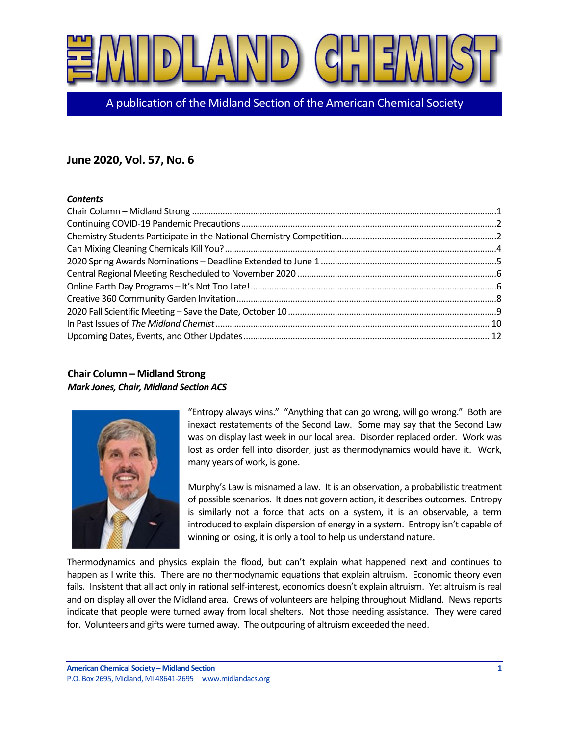

A publication of the Midland Section of the American Chemical Society

# **June 2020, Vol. 57, No. 6**

### *Contents*

# <span id="page-0-0"></span>**Chair Column – Midland Strong** *Mark Jones, Chair, Midland Section ACS*



"Entropy always wins." "Anything that can go wrong, will go wrong." Both are inexact restatements of the Second Law. Some may say that the Second Law was on display last week in our local area. Disorder replaced order. Work was lost as order fell into disorder, just as thermodynamics would have it. Work, many years of work, is gone.

Murphy's Law is misnamed a law. It is an observation, a probabilistic treatment of possible scenarios. It does not govern action, it describes outcomes. Entropy is similarly not a force that acts on a system, it is an observable, a term introduced to explain dispersion of energy in a system. Entropy isn't capable of winning or losing, it is only a tool to help us understand nature.

Thermodynamics and physics explain the flood, but can't explain what happened next and continues to happen as I write this. There are no thermodynamic equations that explain altruism. Economic theory even fails. Insistent that all act only in rational self-interest, economics doesn't explain altruism. Yet altruism is real and on display all over the Midland area. Crews of volunteers are helping throughout Midland. News reports indicate that people were turned away from local shelters. Not those needing assistance. They were cared for. Volunteers and gifts were turned away. The outpouring of altruism exceeded the need.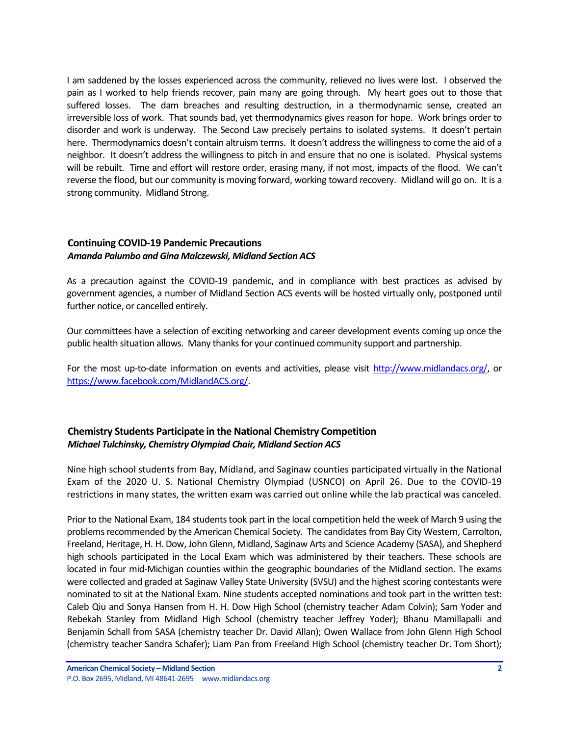I am saddened by the losses experienced across the community, relieved no lives were lost. I observed the pain as I worked to help friends recover, pain many are going through. My heart goes out to those that suffered losses. The dam breaches and resulting destruction, in a thermodynamic sense, created an irreversible loss of work. That sounds bad, yet thermodynamics gives reason for hope. Work brings order to disorder and work is underway. The Second Law precisely pertains to isolated systems. It doesn't pertain here. Thermodynamics doesn't contain altruism terms. It doesn't address the willingness to come the aid of a neighbor. It doesn't address the willingness to pitch in and ensure that no one is isolated. Physical systems will be rebuilt. Time and effort will restore order, erasing many, if not most, impacts of the flood. We can't reverse the flood, but our community is moving forward, working toward recovery. Midland will go on. It is a strong community. Midland Strong.

### <span id="page-1-0"></span>**Continuing COVID-19 Pandemic Precautions** *Amanda Palumbo and Gina Malczewski, Midland Section ACS*

As a precaution against the COVID-19 pandemic, and in compliance with best practices as advised by government agencies, a number of Midland Section ACS events will be hosted virtually only, postponed until further notice, or cancelled entirely.

Our committees have a selection of exciting networking and career development events coming up once the public health situation allows. Many thanks for your continued community support and partnership.

For the most up-to-date information on events and activities, please visit [http://www.midlandacs.org/,](http://www.midlandacs.org/) or [https://www.facebook.com/MidlandACS.org/.](https://www.facebook.com/MidlandACS.org/)

# <span id="page-1-1"></span>**Chemistry Students Participate in the National Chemistry Competition** *Michael Tulchinsky, Chemistry Olympiad Chair, Midland Section ACS*

Nine high school students from Bay, Midland, and Saginaw counties participated virtually in the National Exam of the 2020 U. S. National Chemistry Olympiad (USNCO) on April 26. Due to the COVID-19 restrictions in many states, the written exam was carried out online while the lab practical was canceled.

Prior to the National Exam, 184 students took part in the local competition held the week of March 9 using the problems recommended by the American Chemical Society. The candidates from Bay City Western, Carrolton, Freeland, Heritage, H. H. Dow, John Glenn, Midland, Saginaw Arts and Science Academy (SASA), and Shepherd high schools participated in the Local Exam which was administered by their teachers. These schools are located in four mid-Michigan counties within the geographic boundaries of the Midland section. The exams were collected and graded at Saginaw Valley State University (SVSU) and the highest scoring contestants were nominated to sit at the National Exam. Nine students accepted nominations and took part in the written test: Caleb Qiu and Sonya Hansen from H. H. Dow High School (chemistry teacher Adam Colvin); Sam Yoder and Rebekah Stanley from Midland High School (chemistry teacher Jeffrey Yoder); Bhanu Mamillapalli and Benjamin Schall from SASA (chemistry teacher Dr. David Allan); Owen Wallace from John Glenn High School (chemistry teacher Sandra Schafer); Liam Pan from Freeland High School (chemistry teacher Dr. Tom Short);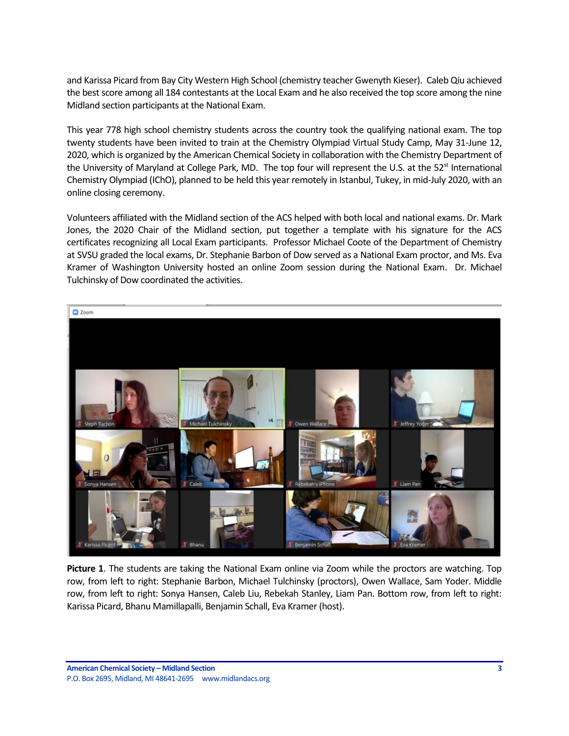and Karissa Picard from Bay City Western High School (chemistry teacher Gwenyth Kieser). Caleb Qiu achieved the best score among all 184 contestants at the Local Exam and he also received the top score among the nine Midland section participants at the National Exam.

This year 778 high school chemistry students across the country took the qualifying national exam. The top twenty students have been invited to train at the Chemistry Olympiad Virtual Study Camp, May 31-June 12, 2020, which is organized by the American Chemical Society in collaboration with the Chemistry Department of the University of Maryland at College Park, MD. The top four will represent the U.S. at the  $52^{st}$  International Chemistry Olympiad (IChO), planned to be held this year remotely in Istanbul, Tukey, in mid-July 2020, with an online closing ceremony.

Volunteers affiliated with the Midland section of the ACS helped with both local and national exams. Dr. Mark Jones, the 2020 Chair of the Midland section, put together a template with his signature for the ACS certificates recognizing all Local Exam participants. Professor Michael Coote of the Department of Chemistry at SVSU graded the local exams, Dr. Stephanie Barbon of Dow served as a National Exam proctor, and Ms. Eva Kramer of Washington University hosted an online Zoom session during the National Exam. Dr. Michael Tulchinsky of Dow coordinated the activities.



**Picture 1**. The students are taking the National Exam online via Zoom while the proctors are watching. Top row, from left to right: Stephanie Barbon, Michael Tulchinsky (proctors), Owen Wallace, Sam Yoder. Middle row, from left to right: Sonya Hansen, Caleb Liu, Rebekah Stanley, Liam Pan. Bottom row, from left to right: Karissa Picard, Bhanu Mamillapalli, Benjamin Schall, Eva Kramer (host).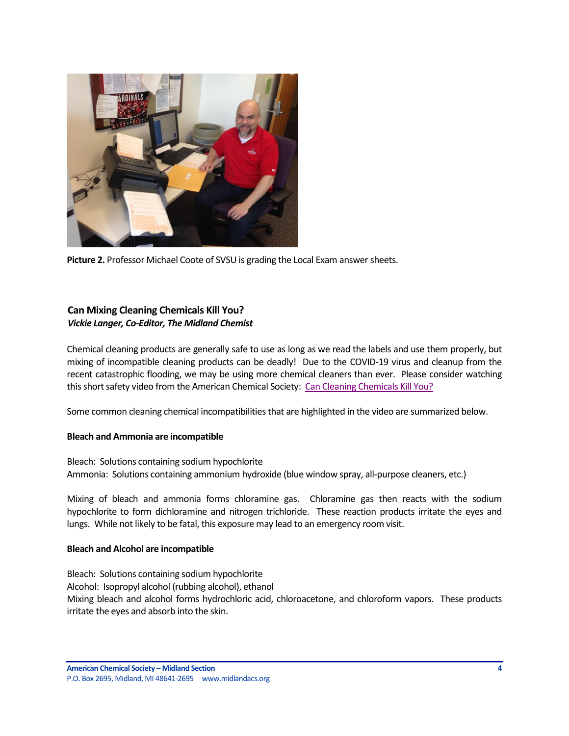

**Picture 2.** Professor Michael Coote of SVSU is grading the Local Exam answer sheets.

# <span id="page-3-0"></span>**Can Mixing Cleaning Chemicals Kill You?** *Vickie Langer, Co-Editor, The Midland Chemist*

Chemical cleaning products are generally safe to use as long as we read the labels and use them properly, but mixing of incompatible cleaning products can be deadly! Due to the COVID-19 virus and cleanup from the recent catastrophic flooding, we may be using more chemical cleaners than ever. Please consider watching this short safety video from the American Chemical Society: [Can Cleaning Chemicals Kill You?](https://www.youtube.com/watch?v=FH1h0oWjark)

Some common cleaning chemical incompatibilities that are highlighted in the video are summarized below.

### **Bleach and Ammonia are incompatible**

Bleach: Solutions containing sodium hypochlorite Ammonia: Solutions containing ammonium hydroxide (blue window spray, all-purpose cleaners, etc.)

Mixing of bleach and ammonia forms chloramine gas. Chloramine gas then reacts with the sodium hypochlorite to form dichloramine and nitrogen trichloride. These reaction products irritate the eyes and lungs. While not likely to be fatal, this exposure may lead to an emergency room visit.

#### **Bleach and Alcohol are incompatible**

Bleach: Solutions containing sodium hypochlorite Alcohol: Isopropyl alcohol (rubbing alcohol), ethanol Mixing bleach and alcohol forms hydrochloric acid, chloroacetone, and chloroform vapors. These products irritate the eyes and absorb into the skin.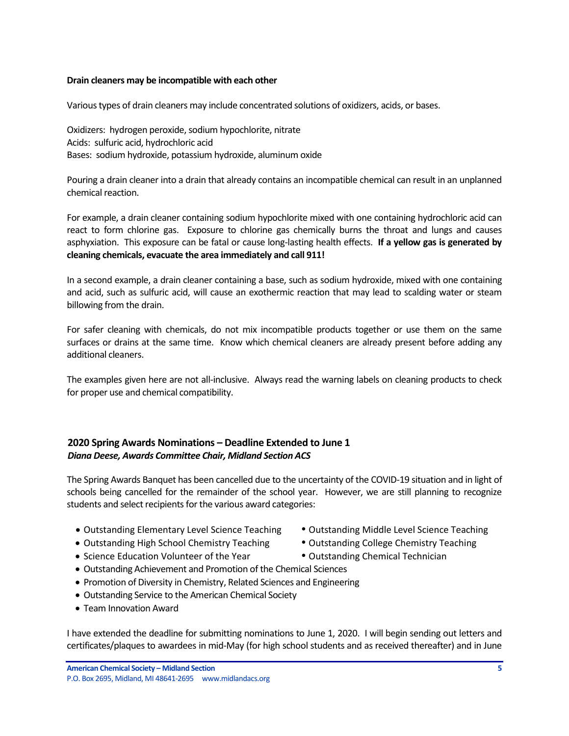#### **Drain cleaners may be incompatible with each other**

Various types of drain cleaners may include concentrated solutions of oxidizers, acids, or bases.

Oxidizers: hydrogen peroxide, sodium hypochlorite, nitrate Acids: sulfuric acid, hydrochloric acid Bases: sodium hydroxide, potassium hydroxide, aluminum oxide

Pouring a drain cleaner into a drain that already contains an incompatible chemical can result in an unplanned chemical reaction.

For example, a drain cleaner containing sodium hypochlorite mixed with one containing hydrochloric acid can react to form chlorine gas. Exposure to chlorine gas chemically burns the throat and lungs and causes asphyxiation. This exposure can be fatal or cause long-lasting health effects. **If a yellow gas is generated by cleaning chemicals, evacuate the area immediately and call 911!**

In a second example, a drain cleaner containing a base, such as sodium hydroxide, mixed with one containing and acid, such as sulfuric acid, will cause an exothermic reaction that may lead to scalding water or steam billowing from the drain.

For safer cleaning with chemicals, do not mix incompatible products together or use them on the same surfaces or drains at the same time. Know which chemical cleaners are already present before adding any additional cleaners.

The examples given here are not all-inclusive. Always read the warning labels on cleaning products to check for proper use and chemical compatibility.

# <span id="page-4-0"></span>**2020 Spring Awards Nominations – Deadline Extended to June 1** *Diana Deese, Awards Committee Chair, Midland Section ACS*

The Spring Awards Banquet has been cancelled due to the uncertainty of the COVID-19 situation and in light of schools being cancelled for the remainder of the school year. However, we are still planning to recognize students and select recipients for the various award categories:

- Outstanding Elementary Level Science Teaching Outstanding Middle Level Science Teaching
- Outstanding High School Chemistry Teaching Outstanding College Chemistry Teaching
- -
- Science Education Volunteer of the Year **•** Outstanding Chemical Technician
	-
- Outstanding Achievement and Promotion of the Chemical Sciences
- Promotion of Diversity in Chemistry, Related Sciences and Engineering
- Outstanding Service to the American Chemical Society
- Team Innovation Award

I have extended the deadline for submitting nominations to June 1, 2020. I will begin sending out letters and certificates/plaques to awardees in mid-May (for high school students and as received thereafter) and in June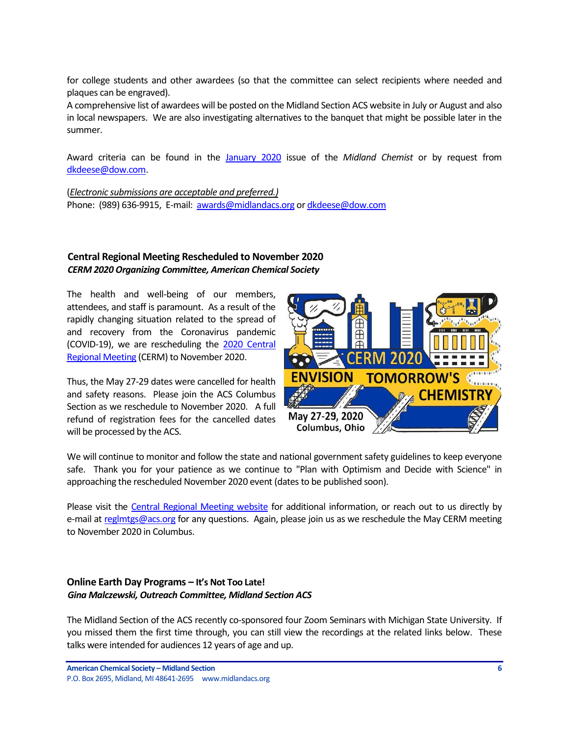for college students and other awardees (so that the committee can select recipients where needed and plaques can be engraved).

A comprehensive list of awardees will be posted on the Midland Section ACS website in July or August and also in local newspapers. We are also investigating alternatives to the banquet that might be possible later in the summer.

Award criteria can be found in the [January 2020](https://secureservercdn.net/184.168.47.225/051.976.myftpupload.com/wp-content/uploads/2020/01/January-2020-Vol.-57-No.-1-Midland-Chemist.pdf) issue of the *Midland Chemist* or by request from [dkdeese@dow.com.](mailto:dkdeese@dow.com)

(*Electronic submissions are acceptable and preferred.)* Phone: (989) 636-9915, E-mail: [awards@midlandacs.org](mailto:awards@midlandacs.org) o[r dkdeese@dow.com](mailto:dkdeese@dow.com)

### <span id="page-5-0"></span>**Central Regional Meeting Rescheduled to November 2020** *CERM 2020 Organizing Committee, American Chemical Society*

The health and well-being of our members, attendees, and staff is paramount. As a result of the rapidly changing situation related to the spread of and recovery from the Coronavirus pandemic (COVID-19), we are rescheduling the [2020 Central](https://cerm2020.org/?sc=200226_mtg_em_regional_CERM_od)  [Regional Meeting](https://cerm2020.org/?sc=200226_mtg_em_regional_CERM_od) (CERM) to November 2020.

Thus, the May 27-29 dates were cancelled for health and safety reasons. Please join the ACS Columbus Section as we reschedule to November 2020. A full refund of registration fees for the cancelled dates will be processed by the ACS.



We will continue to monitor and follow the state and national government safety guidelines to keep everyone safe. Thank you for your patience as we continue to "Plan with Optimism and Decide with Science" in approaching the rescheduled November 2020 event (dates to be published soon).

Please visit the [Central Regional Meeting website](https://cerm2020.org/?sc=200226_mtg_em_regional_CERM_od) for additional information, or reach out to us directly by e-mail at [reglmtgs@acs.org](mailto:reglmtgs@acs.org) for any questions. Again, please join us as we reschedule the May CERM meeting to November 2020 in Columbus.

# <span id="page-5-1"></span>**Online Earth Day Programs – It's Not Too Late!** *Gina Malczewski, Outreach Committee, Midland Section ACS*

The Midland Section of the ACS recently co-sponsored four Zoom Seminars with Michigan State University. If you missed them the first time through, you can still view the recordings at the related links below. These talks were intended for audiences 12 years of age and up.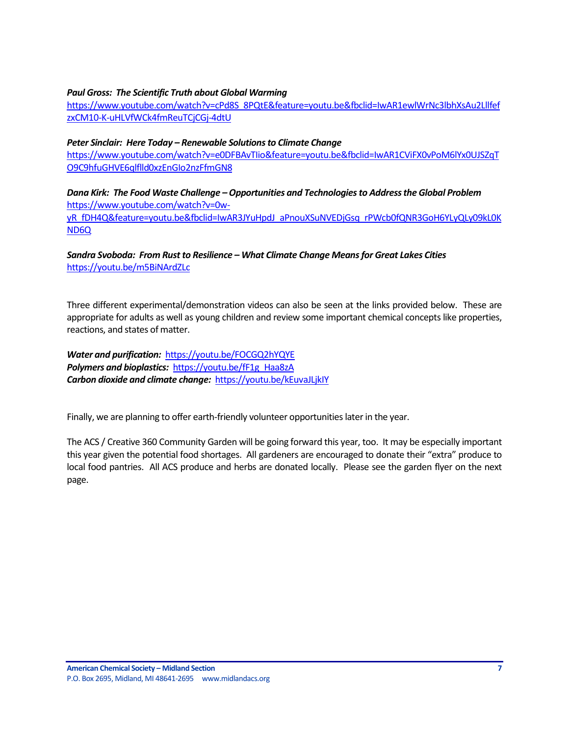### *Paul Gross: The Scientific Truth about Global Warming*

[https://www.youtube.com/watch?v=cPd8S\\_8PQtE&feature=youtu.be&fbclid=IwAR1ewlWrNc3lbhXsAu2Lllfef](https://www.youtube.com/watch?v=cPd8S_8PQtE&feature=youtu.be&fbclid=IwAR1ewlWrNc3lbhXsAu2LllfefzxCM10-K-uHLVfWCk4fmReuTCjCGj-4dtU) [zxCM10-K-uHLVfWCk4fmReuTCjCGj-4dtU](https://www.youtube.com/watch?v=cPd8S_8PQtE&feature=youtu.be&fbclid=IwAR1ewlWrNc3lbhXsAu2LllfefzxCM10-K-uHLVfWCk4fmReuTCjCGj-4dtU)

#### *Peter Sinclair: Here Today – Renewable Solutions to Climate Change*

[https://www.youtube.com/watch?v=e0DFBAvTIio&feature=youtu.be&fbclid=IwAR1CViFX0vPoM6lYx0UJSZqT](https://www.youtube.com/watch?v=e0DFBAvTIio&feature=youtu.be&fbclid=IwAR1CViFX0vPoM6lYx0UJSZqTO9C9hfuGHVE6qlflld0xzEnGIo2nzFfmGN8) [O9C9hfuGHVE6qlflld0xzEnGIo2nzFfmGN8](https://www.youtube.com/watch?v=e0DFBAvTIio&feature=youtu.be&fbclid=IwAR1CViFX0vPoM6lYx0UJSZqTO9C9hfuGHVE6qlflld0xzEnGIo2nzFfmGN8)

*Dana Kirk: The Food Waste Challenge –Opportunities and Technologies to Address the Global Problem* [https://www.youtube.com/watch?v=0w](https://www.youtube.com/watch?v=0w-yR_fDH4Q&feature=youtu.be&fbclid=IwAR3JYuHpdJ_aPnouXSuNVEDjGsq_rPWcb0fQNR3GoH6YLyQLy09kL0KND6Q)[yR\\_fDH4Q&feature=youtu.be&fbclid=IwAR3JYuHpdJ\\_aPnouXSuNVEDjGsq\\_rPWcb0fQNR3GoH6YLyQLy09kL0K](https://www.youtube.com/watch?v=0w-yR_fDH4Q&feature=youtu.be&fbclid=IwAR3JYuHpdJ_aPnouXSuNVEDjGsq_rPWcb0fQNR3GoH6YLyQLy09kL0KND6Q) [ND6Q](https://www.youtube.com/watch?v=0w-yR_fDH4Q&feature=youtu.be&fbclid=IwAR3JYuHpdJ_aPnouXSuNVEDjGsq_rPWcb0fQNR3GoH6YLyQLy09kL0KND6Q)

*Sandra Svoboda: From Rust to Resilience – What Climate Change Means for Great Lakes Cities* <https://youtu.be/m5BiNArdZLc>

Three different experimental/demonstration videos can also be seen at the links provided below. These are appropriate for adults as well as young children and review some important chemical concepts like properties, reactions, and states of matter.

*Water and purification:* <https://youtu.be/FOCGQ2hYQYE> Polymers and bioplastics: [https://youtu.be/fF1g\\_Haa8zA](https://youtu.be/fF1g_Haa8zA) *Carbon dioxide and climate change:*<https://youtu.be/kEuvaJLjkIY>

Finally, we are planning to offer earth-friendly volunteer opportunities later in the year.

The ACS / Creative 360 Community Garden will be going forward this year, too. It may be especially important this year given the potential food shortages. All gardeners are encouraged to donate their "extra" produce to local food pantries. All ACS produce and herbs are donated locally. Please see the garden flyer on the next page.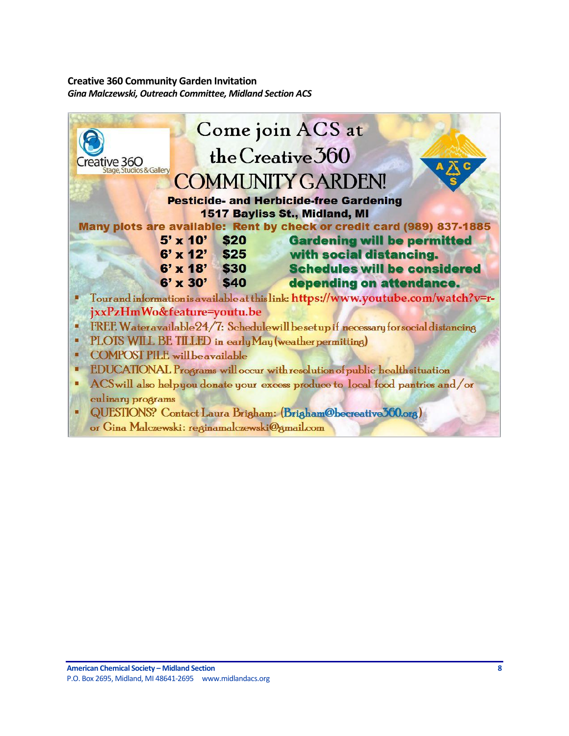# <span id="page-7-0"></span>**Creative 360 Community Garden Invitation** *Gina Malczewski, Outreach Committee, Midland Section ACS*

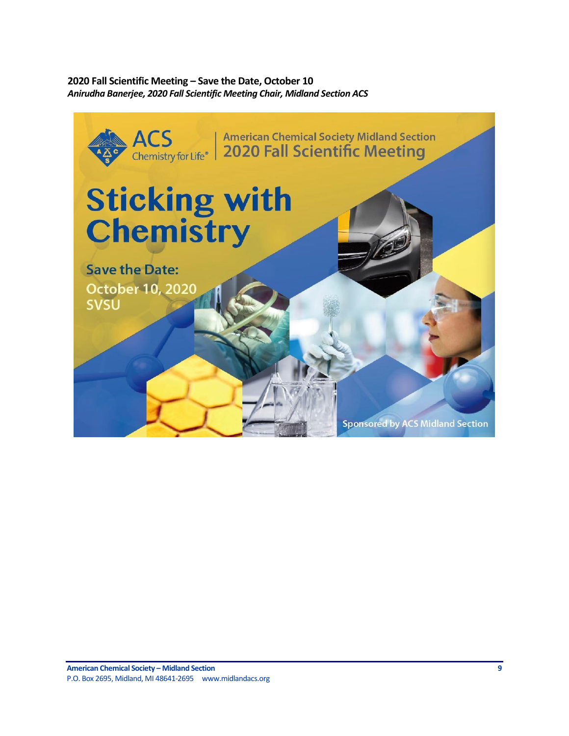<span id="page-8-0"></span>**2020 Fall Scientific Meeting – Save the Date, October 10** *Anirudha Banerjee, 2020 Fall Scientific Meeting Chair, Midland Section ACS*

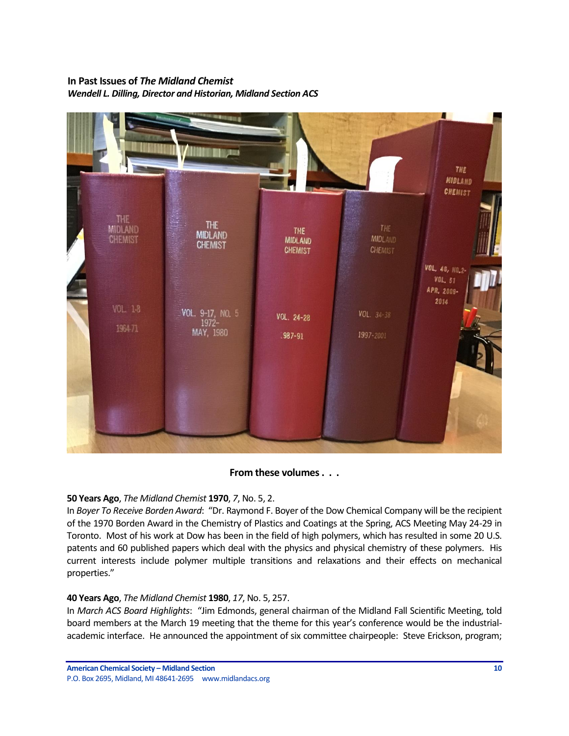# <span id="page-9-0"></span>**In Past Issues of** *The Midland Chemist Wendell L. Dilling, Director and Historian, Midland Section ACS*



# **From these volumes . . .**

# **50 Years Ago**, *The Midland Chemist* **1970**, *7*, No. 5, 2.

In *Boyer To Receive Borden Award*: "Dr. Raymond F. Boyer of the Dow Chemical Company will be the recipient of the 1970 Borden Award in the Chemistry of Plastics and Coatings at the Spring, ACS Meeting May 24-29 in Toronto. Most of his work at Dow has been in the field of high polymers, which has resulted in some 20 U.S. patents and 60 published papers which deal with the physics and physical chemistry of these polymers. His current interests include polymer multiple transitions and relaxations and their effects on mechanical properties."

# **40 Years Ago**, *The Midland Chemist* **1980**, *17*, No. 5, 257.

In *March ACS Board Highlights*: "Jim Edmonds, general chairman of the Midland Fall Scientific Meeting, told board members at the March 19 meeting that the theme for this year's conference would be the industrialacademic interface. He announced the appointment of six committee chairpeople: Steve Erickson, program;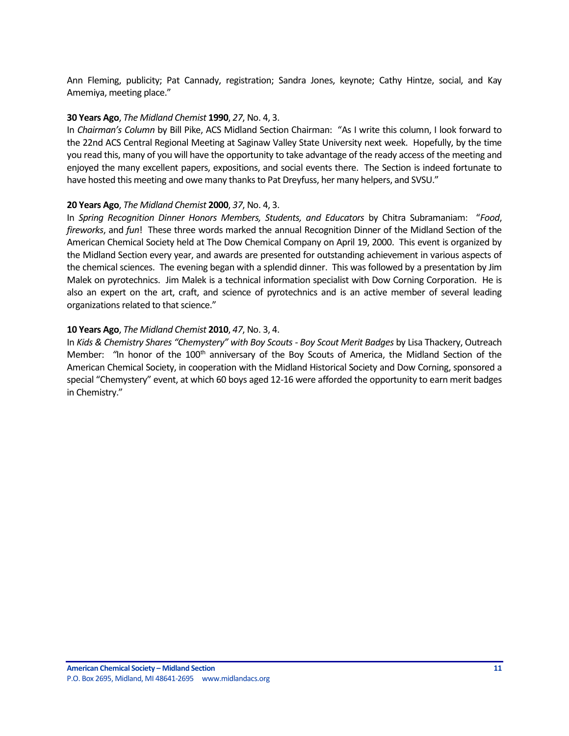Ann Fleming, publicity; Pat Cannady, registration; Sandra Jones, keynote; Cathy Hintze, social, and Kay Amemiya, meeting place."

### **30 Years Ago**, *The Midland Chemist* **1990**, *27*, No. 4, 3.

In *Chairman's Column* by Bill Pike, ACS Midland Section Chairman: "As I write this column, I look forward to the 22nd ACS Central Regional Meeting at Saginaw Valley State University next week. Hopefully, by the time you read this, many of you will have the opportunity to take advantage of the ready access of the meeting and enjoyed the many excellent papers, expositions, and social events there. The Section is indeed fortunate to have hosted this meeting and owe many thanks to Pat Dreyfuss, her many helpers, and SVSU."

#### **20 Years Ago**, *The Midland Chemist* **2000**, *37*, No. 4, 3.

In *Spring Recognition Dinner Honors Members, Students, and Educators* by Chitra Subramaniam: "*Food*, *fireworks*, and *fun*! These three words marked the annual Recognition Dinner of the Midland Section of the American Chemical Society held at The Dow Chemical Company on April 19, 2000. This event is organized by the Midland Section every year, and awards are presented for outstanding achievement in various aspects of the chemical sciences. The evening began with a splendid dinner. This was followed by a presentation by Jim Malek on pyrotechnics. Jim Malek is a technical information specialist with Dow Corning Corporation. He is also an expert on the art, craft, and science of pyrotechnics and is an active member of several leading organizations related to that science."

#### **10 Years Ago**, *The Midland Chemist* **2010**, *47*, No. 3, 4.

In *Kids & Chemistry Shares "Chemystery" with Boy Scouts - Boy Scout Merit Badges* by Lisa Thackery, Outreach Member: "In honor of the 100<sup>th</sup> anniversary of the Boy Scouts of America, the Midland Section of the American Chemical Society, in cooperation with the Midland Historical Society and Dow Corning, sponsored a special "Chemystery" event, at which 60 boys aged 12-16 were afforded the opportunity to earn merit badges in Chemistry."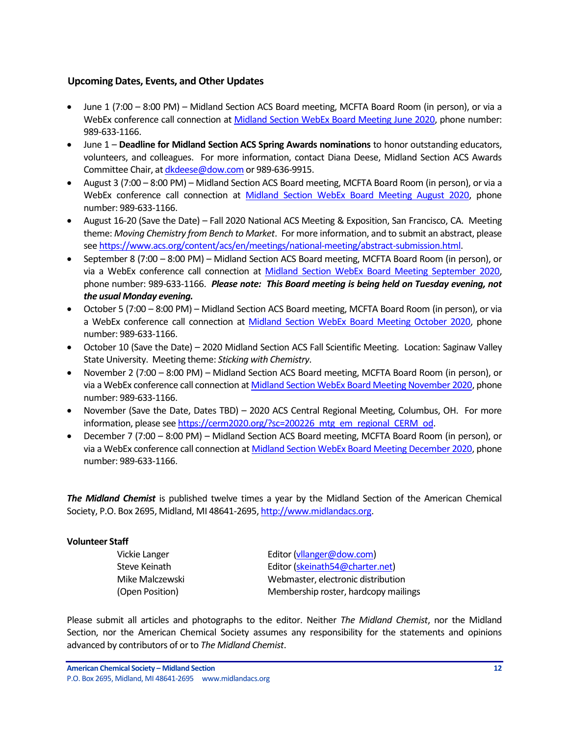### <span id="page-11-0"></span>**Upcoming Dates, Events, and Other Updates**

- June 1 (7:00 8:00 PM) Midland Section ACS Board meeting, MCFTA Board Room (in person), or via a WebEx conference call connection at [Midland Section WebEx Board Meeting June 2020,](https://dow.webex.com/webappng/sites/dow/meeting/info/147369764857090207?MTID=m6d5b883f8b8a0cccbb56f34737466537) phone number: 989-633-1166.
- June 1 **Deadline for Midland Section ACS Spring Awards nominations** to honor outstanding educators, volunteers, and colleagues. For more information, contact Diana Deese, Midland Section ACS Awards Committee Chair, a[t dkdeese@dow.com](mailto:dkdeese@dow.com) or 989-636-9915.
- August 3 (7:00 8:00 PM) Midland Section ACS Board meeting, MCFTA Board Room (in person), or via a WebEx conference call connection at [Midland Section WebEx Board Meeting August 2020,](https://dow.webex.com/webappng/sites/dow/meeting/info/147369865088373225?MTID=m9e575e5b99b945a631d5e929d4c9b94e) phone number: 989-633-1166.
- August 16-20 (Save the Date) Fall 2020 National ACS Meeting & Exposition, San Francisco, CA. Meeting theme: *Moving Chemistry from Bench to Market*. For more information, and to submit an abstract, please se[e https://www.acs.org/content/acs/en/meetings/national-meeting/abstract-submission.html.](https://www.acs.org/content/acs/en/meetings/national-meeting/abstract-submission.html)
- September 8 (7:00 8:00 PM) Midland Section ACS Board meeting, MCFTA Board Room (in person), or via a WebEx conference call connection at [Midland Section WebEx Board Meeting September 2020,](https://dow.webex.com/webappng/sites/dow/meeting/info/147369910636417826?MTID=m8efde4d24b3170a04b675077a31db6ff) phone number: 989-633-1166. *Please note: This Board meeting is being held on Tuesday evening, not the usual Monday evening.*
- October 5 (7:00 8:00 PM) Midland Section ACS Board meeting, MCFTA Board Room (in person), or via a WebEx conference call connection at [Midland Section WebEx Board Meeting October 2020,](https://dow.webex.com/webappng/sites/dow/meeting/info/147369963561194403?MTID=m4433e125aba5a6c26b6e32d347ffc7bf) phone number: 989-633-1166.
- October 10 (Save the Date) 2020 Midland Section ACS Fall Scientific Meeting. Location: Saginaw Valley State University. Meeting theme: *Sticking with Chemistry*.
- November 2 (7:00 8:00 PM) Midland Section ACS Board meeting, MCFTA Board Room (in person), or via a WebEx conference call connection a[t Midland Section WebEx Board Meeting November 2020,](https://dow.webex.com/webappng/sites/dow/meeting/info/147370014930932607?MTID=me1a04d08b255f6ca75034382b9c32601) phone number: 989-633-1166.
- November (Save the Date, Dates TBD) 2020 ACS Central Regional Meeting, Columbus, OH. For more information, please se[e https://cerm2020.org/?sc=200226\\_mtg\\_em\\_regional\\_CERM\\_od.](https://cerm2020.org/?sc=200226_mtg_em_regional_CERM_od)
- December 7 (7:00 8:00 PM) Midland Section ACS Board meeting, MCFTA Board Room (in person), or via a WebEx conference call connection at [Midland Section WebEx Board Meeting December 2020,](https://dow.webex.com/webappng/sites/dow/meeting/info/147370068640043188?MTID=m2ecd52d22a6ec33abe1a2ba613bc7492) phone number: 989-633-1166.

*The Midland Chemist* is published twelve times a year by the Midland Section of the American Chemical Society, P.O. Box 2695, Midland, MI 48641-2695[, http://www.midlandacs.org.](http://www.midlandacs.org/)

### **Volunteer Staff**

Vickie Langer **Editor** [\(vllanger@dow.com\)](mailto:vllanger@dow.com) Steve Keinath Editor [\(skeinath54@charter.net\)](mailto:skeinath54@charter.net) Mike Malczewski Webmaster, electronic distribution (Open Position) Membership roster, hardcopy mailings

Please submit all articles and photographs to the editor. Neither *The Midland Chemist*, nor the Midland Section, nor the American Chemical Society assumes any responsibility for the statements and opinions advanced by contributors of or to *The Midland Chemist*.